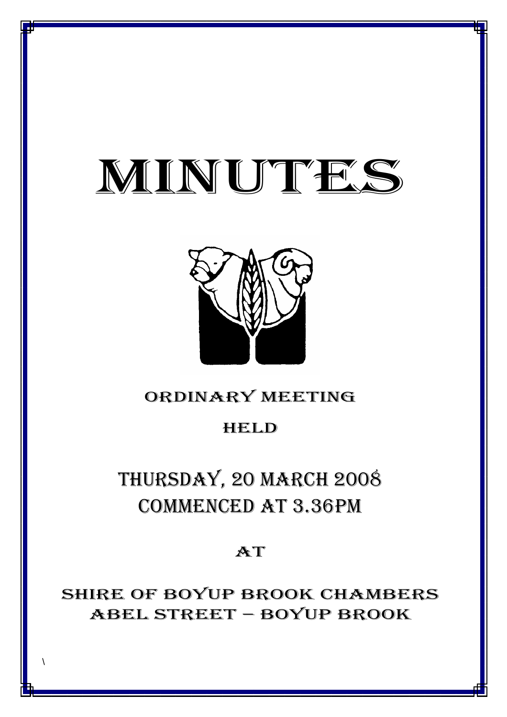# MINUTES

*MINUTES OF THE ORDINARY MEETING OF COUNCIL HELD ON 20 MARCH 2008*



### ORDINARY MEETING

### HELD

## THURSDAY, 20 MARCH 2008 COMMENCED AT 3.36PM

### AT

SHIRE OF BOYUP BROOK CHAMBERS ABEL STREET – BOYUP BROOK

1

\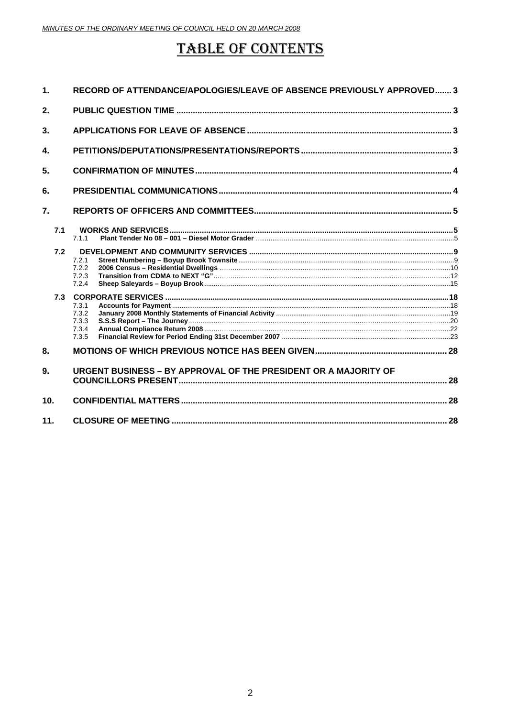### **TABLE OF CONTENTS**

| $\mathbf 1$     | RECORD OF ATTENDANCE/APOLOGIES/LEAVE OF ABSENCE PREVIOUSLY APPROVED 3 |  |
|-----------------|-----------------------------------------------------------------------|--|
| 2.              |                                                                       |  |
| 3.              |                                                                       |  |
| 4.              |                                                                       |  |
| 5.              |                                                                       |  |
| 6.              |                                                                       |  |
| 7.              |                                                                       |  |
| 7.1             | 7.1.1                                                                 |  |
| 7.2             | 7.2.1<br>7.2.2<br>7.2.3<br>7.2.4                                      |  |
| 7.3             | 7.3.1<br>7.3.2<br>7.3.3<br>7.3.4<br>7.3.5                             |  |
| 8.              |                                                                       |  |
| 9.              | URGENT BUSINESS - BY APPROVAL OF THE PRESIDENT OR A MAJORITY OF       |  |
| 10 <sub>1</sub> |                                                                       |  |
| 11.             |                                                                       |  |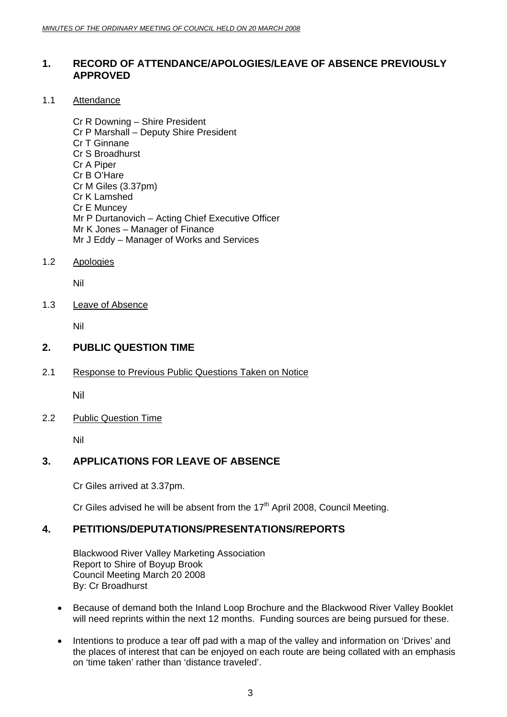### <span id="page-2-0"></span>**1. RECORD OF ATTENDANCE/APOLOGIES/LEAVE OF ABSENCE PREVIOUSLY APPROVED**

1.1 Attendance

Cr R Downing – Shire President Cr P Marshall – Deputy Shire President Cr T Ginnane Cr S Broadhurst Cr A Piper Cr B O'Hare Cr M Giles (3.37pm) Cr K Lamshed Cr E Muncey Mr P Durtanovich – Acting Chief Executive Officer Mr K Jones – Manager of Finance Mr J Eddy – Manager of Works and Services

#### 1.2 Apologies

Nil

#### 1.3 Leave of Absence

Nil

#### **2. PUBLIC QUESTION TIME**

2.1 Response to Previous Public Questions Taken on Notice

Nil

2.2 Public Question Time

Nil

### **3. APPLICATIONS FOR LEAVE OF ABSENCE**

Cr Giles arrived at 3.37pm.

Cr Giles advised he will be absent from the  $17<sup>th</sup>$  April 2008, Council Meeting.

### **4. PETITIONS/DEPUTATIONS/PRESENTATIONS/REPORTS**

Blackwood River Valley Marketing Association Report to Shire of Boyup Brook Council Meeting March 20 2008 By: Cr Broadhurst

- Because of demand both the Inland Loop Brochure and the Blackwood River Valley Booklet will need reprints within the next 12 months. Funding sources are being pursued for these.
- Intentions to produce a tear off pad with a map of the valley and information on 'Drives' and the places of interest that can be enjoyed on each route are being collated with an emphasis on 'time taken' rather than 'distance traveled'.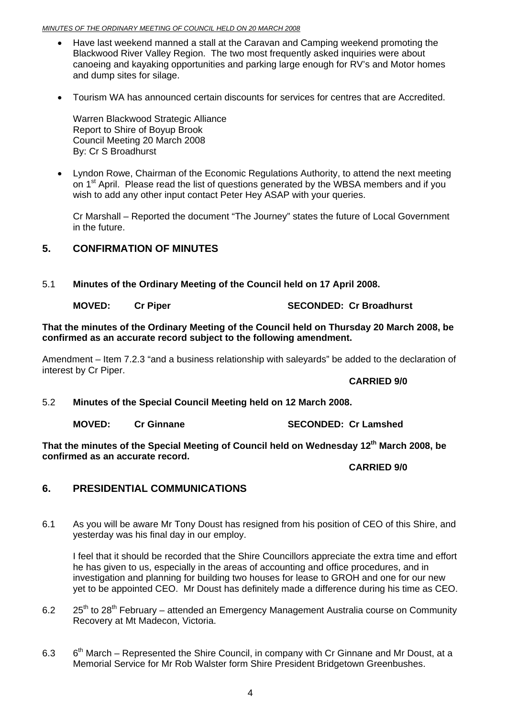#### <span id="page-3-0"></span>*MINUTES OF THE ORDINARY MEETING OF COUNCIL HELD ON 20 MARCH 2008*

- Have last weekend manned a stall at the Caravan and Camping weekend promoting the Blackwood River Valley Region. The two most frequently asked inquiries were about canoeing and kayaking opportunities and parking large enough for RV's and Motor homes and dump sites for silage.
- Tourism WA has announced certain discounts for services for centres that are Accredited.

Warren Blackwood Strategic Alliance Report to Shire of Boyup Brook Council Meeting 20 March 2008 By: Cr S Broadhurst

• Lyndon Rowe, Chairman of the Economic Regulations Authority, to attend the next meeting on 1<sup>st</sup> April. Please read the list of questions generated by the WBSA members and if you wish to add any other input contact Peter Hey ASAP with your queries.

Cr Marshall – Reported the document "The Journey" states the future of Local Government in the future.

#### **5. CONFIRMATION OF MINUTES**

5.1 **Minutes of the Ordinary Meeting of the Council held on 17 April 2008.** 

#### **MOVED:** Cr Piper SECONDED: Cr Broadhurst

**That the minutes of the Ordinary Meeting of the Council held on Thursday 20 March 2008, be confirmed as an accurate record subject to the following amendment.** 

Amendment – Item 7.2.3 "and a business relationship with saleyards" be added to the declaration of interest by Cr Piper.

#### **CARRIED 9/0**

- 5.2 **Minutes of the Special Council Meeting held on 12 March 2008.** 
	-

**MOVED: Cr Ginnane SECONDED: Cr Lamshed** 

That the minutes of the Special Meeting of Council held on Wednesday 12<sup>th</sup> March 2008, be **confirmed as an accurate record.**

#### **CARRIED 9/0**

### **6. PRESIDENTIAL COMMUNICATIONS**

6.1 As you will be aware Mr Tony Doust has resigned from his position of CEO of this Shire, and yesterday was his final day in our employ.

I feel that it should be recorded that the Shire Councillors appreciate the extra time and effort he has given to us, especially in the areas of accounting and office procedures, and in investigation and planning for building two houses for lease to GROH and one for our new yet to be appointed CEO. Mr Doust has definitely made a difference during his time as CEO.

- 6.2  $25<sup>th</sup>$  to 28<sup>th</sup> February attended an Emergency Management Australia course on Community Recovery at Mt Madecon, Victoria.
- 6.3  $6<sup>th</sup> March Represented the Shire Council, in company with Cr Ginnane and Mr Doust, at a$ Memorial Service for Mr Rob Walster form Shire President Bridgetown Greenbushes.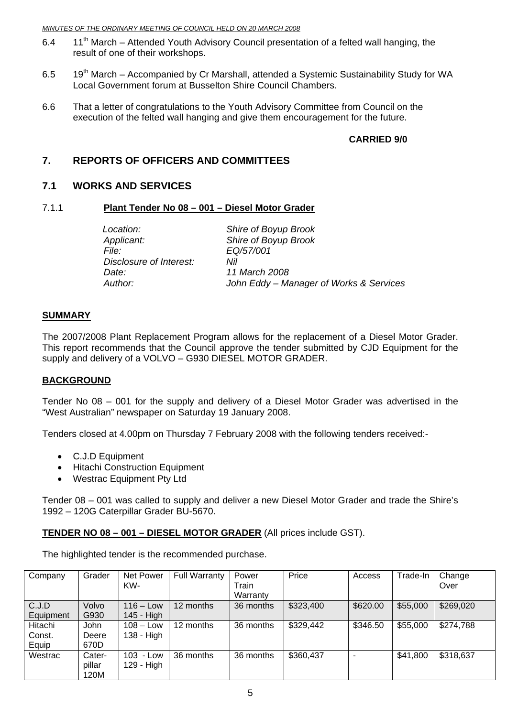- <span id="page-4-0"></span>6.4 11<sup>th</sup> March – Attended Youth Advisory Council presentation of a felted wall hanging, the result of one of their workshops.
- 6.5  $19<sup>th</sup>$  March Accompanied by Cr Marshall, attended a Systemic Sustainability Study for WA Local Government forum at Busselton Shire Council Chambers.
- 6.6 That a letter of congratulations to the Youth Advisory Committee from Council on the execution of the felted wall hanging and give them encouragement for the future.

#### **CARRIED 9/0**

### **7. REPORTS OF OFFICERS AND COMMITTEES**

#### **7.1 WORKS AND SERVICES**

#### 7.1.1 **Plant Tender No 08 – 001 – Diesel Motor Grader**

*File: EQ/57/001 Disclosure of Interest: Nil Date: 11 March 2008* 

*Location: Shire of Boyup Brook Applicant: Shire of Boyup Brook Author: John Eddy – Manager of Works & Services* 

#### **SUMMARY**

The 2007/2008 Plant Replacement Program allows for the replacement of a Diesel Motor Grader. This report recommends that the Council approve the tender submitted by CJD Equipment for the supply and delivery of a VOLVO – G930 DIESEL MOTOR GRADER.

#### **BACKGROUND**

Tender No 08 – 001 for the supply and delivery of a Diesel Motor Grader was advertised in the "West Australian" newspaper on Saturday 19 January 2008.

Tenders closed at 4.00pm on Thursday 7 February 2008 with the following tenders received:-

- C.J.D Equipment
- Hitachi Construction Equipment
- Westrac Equipment Pty Ltd

Tender 08 – 001 was called to supply and deliver a new Diesel Motor Grader and trade the Shire's 1992 – 120G Caterpillar Grader BU-5670.

#### **TENDER NO 08 – 001 – DIESEL MOTOR GRADER** (All prices include GST).

The highlighted tender is the recommended purchase.

| Company   | Grader | Net Power    | <b>Full Warranty</b> | Power     | Price     | Access   | Trade-In | Change    |
|-----------|--------|--------------|----------------------|-----------|-----------|----------|----------|-----------|
|           |        | KW-          |                      | Train     |           |          |          | Over      |
|           |        |              |                      | Warranty  |           |          |          |           |
| C.J.D     | Volvo  | $116 - Low$  | 12 months            | 36 months | \$323,400 | \$620.00 | \$55,000 | \$269,020 |
| Equipment | G930   | 145 - High   |                      |           |           |          |          |           |
| Hitachi   | John   | $108 - Low$  | 12 months            | 36 months | \$329,442 | \$346.50 | \$55,000 | \$274,788 |
| Const.    | Deere  | 138 - High   |                      |           |           |          |          |           |
| Equip     | 670D   |              |                      |           |           |          |          |           |
| Westrac   | Cater- | 103<br>- Low | 36 months            | 36 months | \$360,437 |          | \$41,800 | \$318,637 |
|           | pillar | 129 - High   |                      |           |           |          |          |           |
|           | 120M   |              |                      |           |           |          |          |           |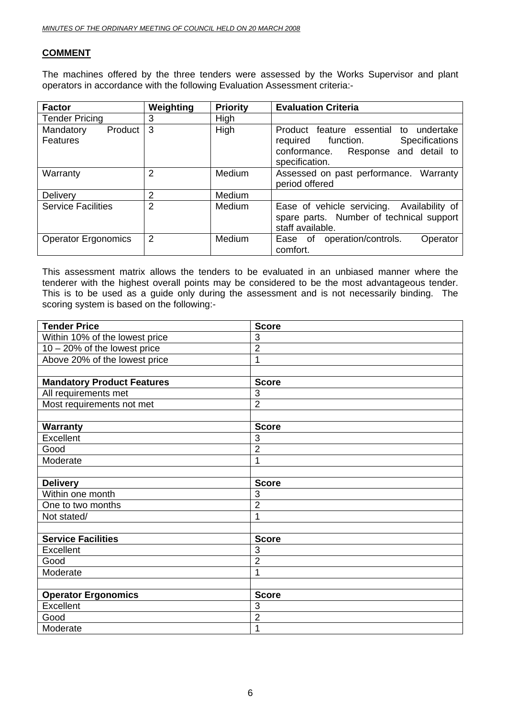#### **COMMENT**

The machines offered by the three tenders were assessed by the Works Supervisor and plant operators in accordance with the following Evaluation Assessment criteria:-

| <b>Factor</b>                    | Weighting      | <b>Priority</b> | <b>Evaluation Criteria</b>                                                                                                                           |
|----------------------------------|----------------|-----------------|------------------------------------------------------------------------------------------------------------------------------------------------------|
| <b>Tender Pricing</b>            | 3              | High            |                                                                                                                                                      |
| Product<br>Mandatory<br>Features | 3              | High            | Product feature essential<br>undertake<br>to<br><b>Specifications</b><br>required function.<br>conformance. Response and detail to<br>specification. |
| Warranty                         | 2              | Medium          | Assessed on past performance.<br>Warranty<br>period offered                                                                                          |
| Delivery                         | 2              | Medium          |                                                                                                                                                      |
| <b>Service Facilities</b>        | $\overline{2}$ | Medium          | Ease of vehicle servicing.<br>Availability of<br>spare parts. Number of technical support<br>staff available.                                        |
| <b>Operator Ergonomics</b>       | $\overline{2}$ | Medium          | operation/controls.<br>Operator<br>Ease of<br>comfort.                                                                                               |

This assessment matrix allows the tenders to be evaluated in an unbiased manner where the tenderer with the highest overall points may be considered to be the most advantageous tender. This is to be used as a guide only during the assessment and is not necessarily binding. The scoring system is based on the following:-

| <b>Tender Price</b>               | <b>Score</b>   |
|-----------------------------------|----------------|
| Within 10% of the lowest price    | 3              |
| $10 - 20\%$ of the lowest price   | $\overline{2}$ |
| Above 20% of the lowest price     | 1              |
|                                   |                |
| <b>Mandatory Product Features</b> | <b>Score</b>   |
| All requirements met              | 3              |
| Most requirements not met         | $\overline{2}$ |
|                                   |                |
| <b>Warranty</b>                   | <b>Score</b>   |
| Excellent                         | 3              |
| Good                              | $\overline{2}$ |
| Moderate                          | 1              |
|                                   |                |
| <b>Delivery</b>                   | <b>Score</b>   |
| Within one month                  | 3              |
| One to two months                 | $\overline{2}$ |
| Not stated/                       | 1              |
|                                   |                |
| <b>Service Facilities</b>         | <b>Score</b>   |
| Excellent                         | 3              |
| Good                              | $\overline{2}$ |
| Moderate                          | 1              |
|                                   |                |
| <b>Operator Ergonomics</b>        | <b>Score</b>   |
| Excellent                         | 3              |
| Good                              | $\overline{2}$ |
| Moderate                          | 1              |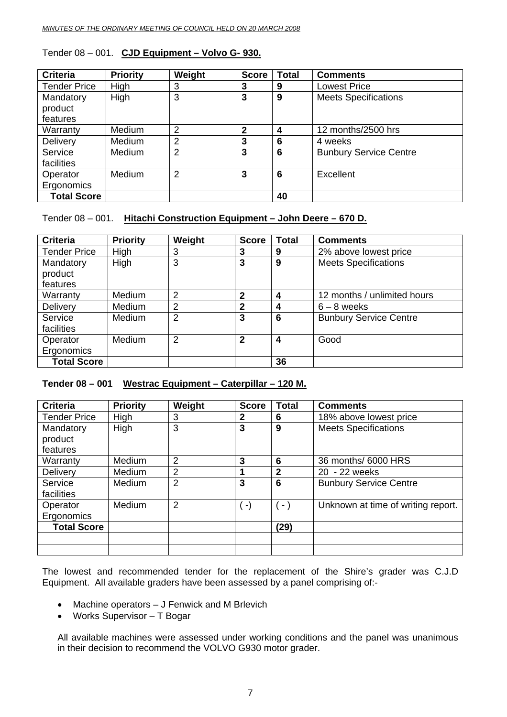| <b>Criteria</b>     | <b>Priority</b> | Weight         | <b>Score</b>   | <b>Total</b> | <b>Comments</b>               |
|---------------------|-----------------|----------------|----------------|--------------|-------------------------------|
| <b>Tender Price</b> | High            | 3              | 3              | 9            | <b>Lowest Price</b>           |
| Mandatory           | High            | 3              | 3              | 9            | <b>Meets Specifications</b>   |
| product             |                 |                |                |              |                               |
| features            |                 |                |                |              |                               |
| Warranty            | Medium          | $\overline{2}$ | $\overline{2}$ | 4            | 12 months/2500 hrs            |
| Delivery            | Medium          | 2              | 3              | 6            | 4 weeks                       |
| Service             | Medium          | $\overline{2}$ | 3              | 6            | <b>Bunbury Service Centre</b> |
| facilities          |                 |                |                |              |                               |
| Operator            | Medium          | $\overline{2}$ | 3              | 6            | Excellent                     |
| Ergonomics          |                 |                |                |              |                               |
| <b>Total Score</b>  |                 |                |                | 40           |                               |

#### Tender 08 – 001. **CJD Equipment – Volvo G- 930.**

#### Tender 08 – 001. **Hitachi Construction Equipment – John Deere – 670 D.**

| <b>Criteria</b>     | <b>Priority</b> | Weight         | <b>Score</b> | <b>Total</b> | <b>Comments</b>               |
|---------------------|-----------------|----------------|--------------|--------------|-------------------------------|
| <b>Tender Price</b> | High            | 3              | 3            | 9            | 2% above lowest price         |
| Mandatory           | High            | 3              | 3            | 9            | <b>Meets Specifications</b>   |
| product             |                 |                |              |              |                               |
| features            |                 |                |              |              |                               |
| Warranty            | <b>Medium</b>   | 2              | $\mathbf{2}$ | 4            | 12 months / unlimited hours   |
| Delivery            | Medium          | 2              | $\mathbf{2}$ | 4            | $6 - 8$ weeks                 |
| Service             | <b>Medium</b>   | $\overline{2}$ | 3            | 6            | <b>Bunbury Service Centre</b> |
| facilities          |                 |                |              |              |                               |
| Operator            | <b>Medium</b>   | 2              | $\mathbf{2}$ | 4            | Good                          |
| Ergonomics          |                 |                |              |              |                               |
| <b>Total Score</b>  |                 |                |              | 36           |                               |

### **Tender 08 – 001 Westrac Equipment – Caterpillar – 120 M.**

| <b>Criteria</b>                  | <b>Priority</b> | Weight         | <b>Score</b> | <b>Total</b>   | <b>Comments</b>                    |
|----------------------------------|-----------------|----------------|--------------|----------------|------------------------------------|
| <b>Tender Price</b>              | High            | 3              | $\mathbf{2}$ | 6              | 18% above lowest price             |
| Mandatory<br>product<br>features | High            | 3              | 3            | 9              | <b>Meets Specifications</b>        |
| Warranty                         | Medium          | 2              | 3            | 6              | 36 months/ 6000 HRS                |
| Delivery                         | <b>Medium</b>   | $\overline{2}$ |              | $\overline{2}$ | 20 - 22 weeks                      |
| Service<br>facilities            | <b>Medium</b>   | $\overline{2}$ | 3            | 6              | <b>Bunbury Service Centre</b>      |
| Operator<br>Ergonomics           | Medium          | 2              | $( - )$      | $(-)$          | Unknown at time of writing report. |
| <b>Total Score</b>               |                 |                |              | (29)           |                                    |
|                                  |                 |                |              |                |                                    |

The lowest and recommended tender for the replacement of the Shire's grader was C.J.D Equipment. All available graders have been assessed by a panel comprising of:-

- Machine operators J Fenwick and M Brlevich
- Works Supervisor T Bogar

All available machines were assessed under working conditions and the panel was unanimous in their decision to recommend the VOLVO G930 motor grader.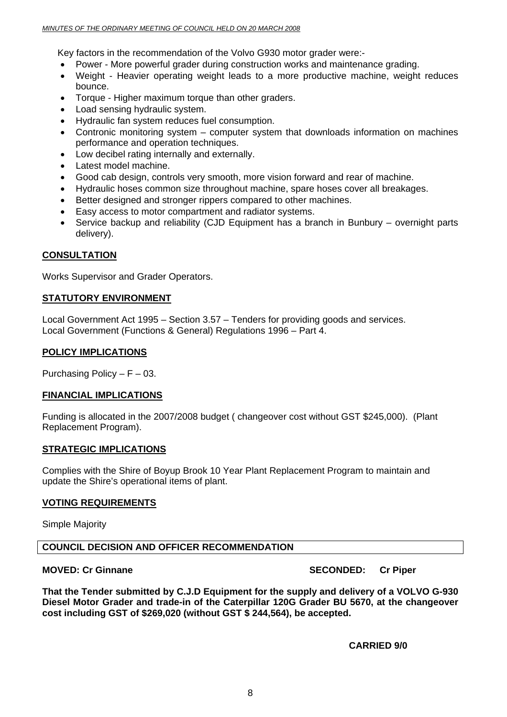Key factors in the recommendation of the Volvo G930 motor grader were:-

- Power More powerful grader during construction works and maintenance grading.
- Weight Heavier operating weight leads to a more productive machine, weight reduces bounce.
- Torque Higher maximum torque than other graders.
- Load sensing hydraulic system.
- Hydraulic fan system reduces fuel consumption.
- Contronic monitoring system computer system that downloads information on machines performance and operation techniques.
- Low decibel rating internally and externally.
- Latest model machine.
- Good cab design, controls very smooth, more vision forward and rear of machine.
- Hydraulic hoses common size throughout machine, spare hoses cover all breakages.
- Better designed and stronger rippers compared to other machines.
- Easy access to motor compartment and radiator systems.
- Service backup and reliability (CJD Equipment has a branch in Bunbury overnight parts delivery).

#### **CONSULTATION**

Works Supervisor and Grader Operators.

#### **STATUTORY ENVIRONMENT**

Local Government Act 1995 – Section 3.57 – Tenders for providing goods and services. Local Government (Functions & General) Regulations 1996 – Part 4.

#### **POLICY IMPLICATIONS**

Purchasing Policy –  $F - 03$ .

#### **FINANCIAL IMPLICATIONS**

Funding is allocated in the 2007/2008 budget ( changeover cost without GST \$245,000). (Plant Replacement Program).

#### **STRATEGIC IMPLICATIONS**

Complies with the Shire of Boyup Brook 10 Year Plant Replacement Program to maintain and update the Shire's operational items of plant.

#### **VOTING REQUIREMENTS**

Simple Majority

#### **COUNCIL DECISION AND OFFICER RECOMMENDATION**

**MOVED: Cr Ginnane SECONDED: Cr Piper and SECONDED: Cr Piper** 

**That the Tender submitted by C.J.D Equipment for the supply and delivery of a VOLVO G-930 Diesel Motor Grader and trade-in of the Caterpillar 120G Grader BU 5670, at the changeover cost including GST of \$269,020 (without GST \$ 244,564), be accepted.**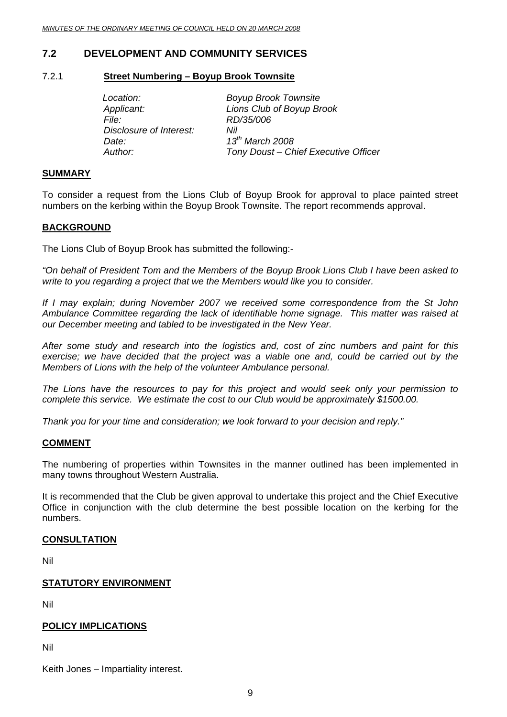### <span id="page-8-0"></span>**7.2 DEVELOPMENT AND COMMUNITY SERVICES**

#### 7.2.1 **Street Numbering – Boyup Brook Townsite**

*File: RD/35/006 Disclosure of Interest: Nil Date: 13th March 2008* 

*Location: Boyup Brook Townsite Applicant: Lions Club of Boyup Brook Author: Tony Doust – Chief Executive Officer* 

#### **SUMMARY**

To consider a request from the Lions Club of Boyup Brook for approval to place painted street numbers on the kerbing within the Boyup Brook Townsite. The report recommends approval.

#### **BACKGROUND**

The Lions Club of Boyup Brook has submitted the following:-

*"On behalf of President Tom and the Members of the Boyup Brook Lions Club I have been asked to write to you regarding a project that we the Members would like you to consider.* 

*If I may explain; during November 2007 we received some correspondence from the St John Ambulance Committee regarding the lack of identifiable home signage. This matter was raised at our December meeting and tabled to be investigated in the New Year.* 

*After some study and research into the logistics and, cost of zinc numbers and paint for this exercise; we have decided that the project was a viable one and, could be carried out by the Members of Lions with the help of the volunteer Ambulance personal.* 

*The Lions have the resources to pay for this project and would seek only your permission to complete this service. We estimate the cost to our Club would be approximately \$1500.00.* 

*Thank you for your time and consideration; we look forward to your decision and reply."* 

#### **COMMENT**

The numbering of properties within Townsites in the manner outlined has been implemented in many towns throughout Western Australia.

It is recommended that the Club be given approval to undertake this project and the Chief Executive Office in conjunction with the club determine the best possible location on the kerbing for the numbers.

#### **CONSULTATION**

Nil

#### **STATUTORY ENVIRONMENT**

Nil

#### **POLICY IMPLICATIONS**

Nil

Keith Jones – Impartiality interest.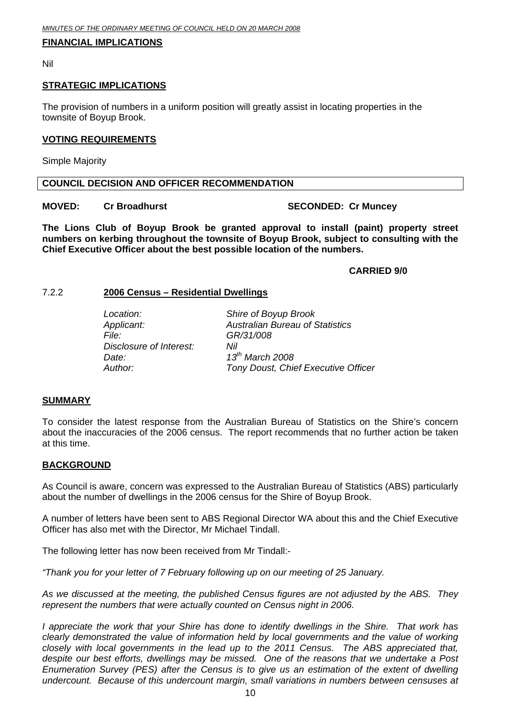#### <span id="page-9-0"></span>**FINANCIAL IMPLICATIONS**

Nil

#### **STRATEGIC IMPLICATIONS**

The provision of numbers in a uniform position will greatly assist in locating properties in the townsite of Boyup Brook.

#### **VOTING REQUIREMENTS**

Simple Majority

#### **COUNCIL DECISION AND OFFICER RECOMMENDATION**

#### **MOVED:** Cr Broadhurst **SECONDED:** Cr Muncey

**The Lions Club of Boyup Brook be granted approval to install (paint) property street numbers on kerbing throughout the townsite of Boyup Brook, subject to consulting with the Chief Executive Officer about the best possible location of the numbers.** 

#### **CARRIED 9/0**

#### 7.2.2 **2006 Census – Residential Dwellings**

| Location:               | Shire of Boyup Brook                   |
|-------------------------|----------------------------------------|
| Applicant:              | <b>Australian Bureau of Statistics</b> |
| <i>File:</i>            | GR/31/008                              |
| Disclosure of Interest: | Nil                                    |
| Date:                   | $13^{th}$ March 2008                   |
| Author:                 | Tony Doust, Chief Executive Officer    |

#### **SUMMARY**

To consider the latest response from the Australian Bureau of Statistics on the Shire's concern about the inaccuracies of the 2006 census. The report recommends that no further action be taken at this time.

#### **BACKGROUND**

As Council is aware, concern was expressed to the Australian Bureau of Statistics (ABS) particularly about the number of dwellings in the 2006 census for the Shire of Boyup Brook.

A number of letters have been sent to ABS Regional Director WA about this and the Chief Executive Officer has also met with the Director, Mr Michael Tindall.

The following letter has now been received from Mr Tindall:-

*"Thank you for your letter of 7 February following up on our meeting of 25 January.* 

*As we discussed at the meeting, the published Census figures are not adjusted by the ABS. They represent the numbers that were actually counted on Census night in 2006.* 

*I appreciate the work that your Shire has done to identify dwellings in the Shire. That work has clearly demonstrated the value of information held by local governments and the value of working closely with local governments in the lead up to the 2011 Census. The ABS appreciated that, despite our best efforts, dwellings may be missed. One of the reasons that we undertake a Post Enumeration Survey (PES) after the Census is to give us an estimation of the extent of dwelling undercount. Because of this undercount margin, small variations in numbers between censuses at*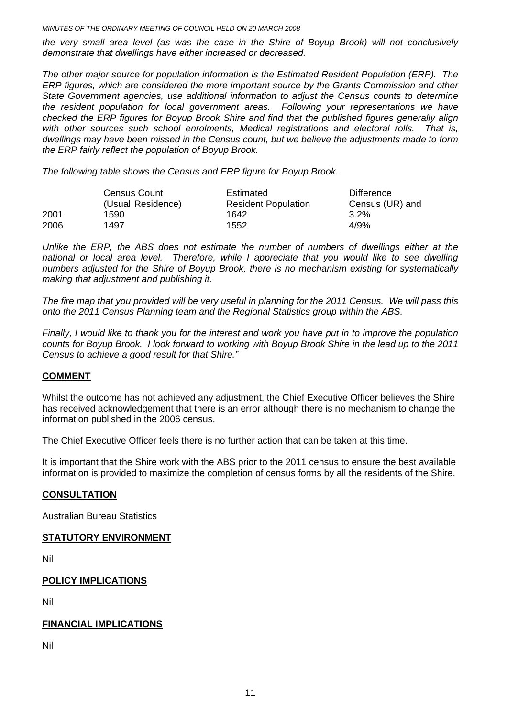#### *MINUTES OF THE ORDINARY MEETING OF COUNCIL HELD ON 20 MARCH 2008*

*the very small area level (as was the case in the Shire of Boyup Brook) will not conclusively demonstrate that dwellings have either increased or decreased.* 

*The other major source for population information is the Estimated Resident Population (ERP). The ERP figures, which are considered the more important source by the Grants Commission and other State Government agencies, use additional information to adjust the Census counts to determine the resident population for local government areas. Following your representations we have checked the ERP figures for Boyup Brook Shire and find that the published figures generally align with other sources such school enrolments, Medical registrations and electoral rolls. That is, dwellings may have been missed in the Census count, but we believe the adjustments made to form the ERP fairly reflect the population of Boyup Brook.* 

*The following table shows the Census and ERP figure for Boyup Brook.* 

|      | <b>Census Count</b> | Estimated                  | Difference      |
|------|---------------------|----------------------------|-----------------|
|      | (Usual Residence)   | <b>Resident Population</b> | Census (UR) and |
| 2001 | 1590                | 1642                       | 3.2%            |
| 2006 | 1497                | 1552                       | 4/9%            |

*Unlike the ERP, the ABS does not estimate the number of numbers of dwellings either at the national or local area level. Therefore, while I appreciate that you would like to see dwelling numbers adjusted for the Shire of Boyup Brook, there is no mechanism existing for systematically making that adjustment and publishing it.* 

*The fire map that you provided will be very useful in planning for the 2011 Census. We will pass this onto the 2011 Census Planning team and the Regional Statistics group within the ABS.* 

*Finally, I would like to thank you for the interest and work you have put in to improve the population counts for Boyup Brook. I look forward to working with Boyup Brook Shire in the lead up to the 2011 Census to achieve a good result for that Shire."* 

#### **COMMENT**

Whilst the outcome has not achieved any adjustment, the Chief Executive Officer believes the Shire has received acknowledgement that there is an error although there is no mechanism to change the information published in the 2006 census.

The Chief Executive Officer feels there is no further action that can be taken at this time.

It is important that the Shire work with the ABS prior to the 2011 census to ensure the best available information is provided to maximize the completion of census forms by all the residents of the Shire.

#### **CONSULTATION**

Australian Bureau Statistics

#### **STATUTORY ENVIRONMENT**

Nil

#### **POLICY IMPLICATIONS**

Nil

#### **FINANCIAL IMPLICATIONS**

Nil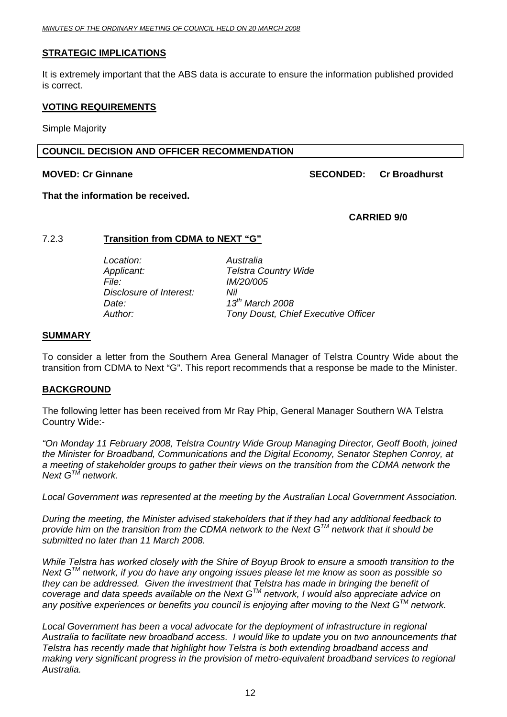#### <span id="page-11-0"></span>**STRATEGIC IMPLICATIONS**

It is extremely important that the ABS data is accurate to ensure the information published provided is correct.

#### **VOTING REQUIREMENTS**

Simple Majority

#### **COUNCIL DECISION AND OFFICER RECOMMENDATION**

#### **MOVED: Cr Ginnane SECONDED: Cr Broadhurst**  SECONDED: Cr Broadhurst

**That the information be received.**

#### **CARRIED 9/0**

#### 7.2.3 **Transition from CDMA to NEXT "G"**

 *Location: Australia Applicant: Telstra Country Wide File: IM/20/005 Disclosure of Interest: Nil Date: 13th March 2008* 

*Author: Tony Doust, Chief Executive Officer* 

#### **SUMMARY**

To consider a letter from the Southern Area General Manager of Telstra Country Wide about the transition from CDMA to Next "G". This report recommends that a response be made to the Minister.

#### **BACKGROUND**

The following letter has been received from Mr Ray Phip, General Manager Southern WA Telstra Country Wide:-

*"On Monday 11 February 2008, Telstra Country Wide Group Managing Director, Geoff Booth, joined the Minister for Broadband, Communications and the Digital Economy, Senator Stephen Conroy, at a meeting of stakeholder groups to gather their views on the transition from the CDMA network the Next GTM network.* 

*Local Government was represented at the meeting by the Australian Local Government Association.* 

*During the meeting, the Minister advised stakeholders that if they had any additional feedback to provide him on the transition from the CDMA network to the Next GTM network that it should be submitted no later than 11 March 2008.* 

*While Telstra has worked closely with the Shire of Boyup Brook to ensure a smooth transition to the Next GTM network, if you do have any ongoing issues please let me know as soon as possible so they can be addressed. Given the investment that Telstra has made in bringing the benefit of coverage and data speeds available on the Next GTM network, I would also appreciate advice on any positive experiences or benefits you council is enjoying after moving to the Next GTM network.* 

Local Government has been a vocal advocate for the deployment of infrastructure in regional *Australia to facilitate new broadband access. I would like to update you on two announcements that Telstra has recently made that highlight how Telstra is both extending broadband access and making very significant progress in the provision of metro-equivalent broadband services to regional Australia.*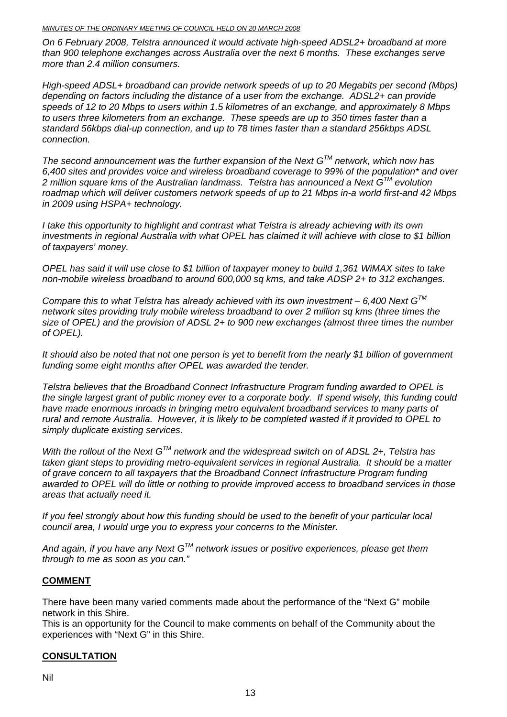*On 6 February 2008, Telstra announced it would activate high-speed ADSL2+ broadband at more than 900 telephone exchanges across Australia over the next 6 months. These exchanges serve more than 2.4 million consumers.* 

*High-speed ADSL+ broadband can provide network speeds of up to 20 Megabits per second (Mbps) depending on factors including the distance of a user from the exchange. ADSL2+ can provide speeds of 12 to 20 Mbps to users within 1.5 kilometres of an exchange, and approximately 8 Mbps to users three kilometers from an exchange. These speeds are up to 350 times faster than a standard 56kbps dial-up connection, and up to 78 times faster than a standard 256kbps ADSL connection.* 

*The second announcement was the further expansion of the Next GTM network, which now has 6,400 sites and provides voice and wireless broadband coverage to 99% of the population\* and over 2 million square kms of the Australian landmass. Telstra has announced a Next GTM evolution roadmap which will deliver customers network speeds of up to 21 Mbps in-a world first-and 42 Mbps in 2009 using HSPA+ technology.* 

*I take this opportunity to highlight and contrast what Telstra is already achieving with its own investments in regional Australia with what OPEL has claimed it will achieve with close to \$1 billion of taxpayers' money.* 

*OPEL has said it will use close to \$1 billion of taxpayer money to build 1,361 WiMAX sites to take non-mobile wireless broadband to around 600,000 sq kms, and take ADSP 2+ to 312 exchanges.* 

*Compare this to what Telstra has already achieved with its own investment – 6,400 Next GTM network sites providing truly mobile wireless broadband to over 2 million sq kms (three times the size of OPEL) and the provision of ADSL 2+ to 900 new exchanges (almost three times the number of OPEL).* 

*It should also be noted that not one person is yet to benefit from the nearly \$1 billion of government funding some eight months after OPEL was awarded the tender.* 

*Telstra believes that the Broadband Connect Infrastructure Program funding awarded to OPEL is the single largest grant of public money ever to a corporate body. If spend wisely, this funding could have made enormous inroads in bringing metro equivalent broadband services to many parts of rural and remote Australia. However, it is likely to be completed wasted if it provided to OPEL to simply duplicate existing services.* 

*With the rollout of the Next GTM network and the widespread switch on of ADSL 2+, Telstra has taken giant steps to providing metro-equivalent services in regional Australia. It should be a matter of grave concern to all taxpayers that the Broadband Connect Infrastructure Program funding awarded to OPEL will do little or nothing to provide improved access to broadband services in those areas that actually need it.* 

*If you feel strongly about how this funding should be used to the benefit of your particular local council area, I would urge you to express your concerns to the Minister.* 

*And again, if you have any Next GTM network issues or positive experiences, please get them through to me as soon as you can."* 

### **COMMENT**

There have been many varied comments made about the performance of the "Next G" mobile network in this Shire.

This is an opportunity for the Council to make comments on behalf of the Community about the experiences with "Next G" in this Shire.

#### **CONSULTATION**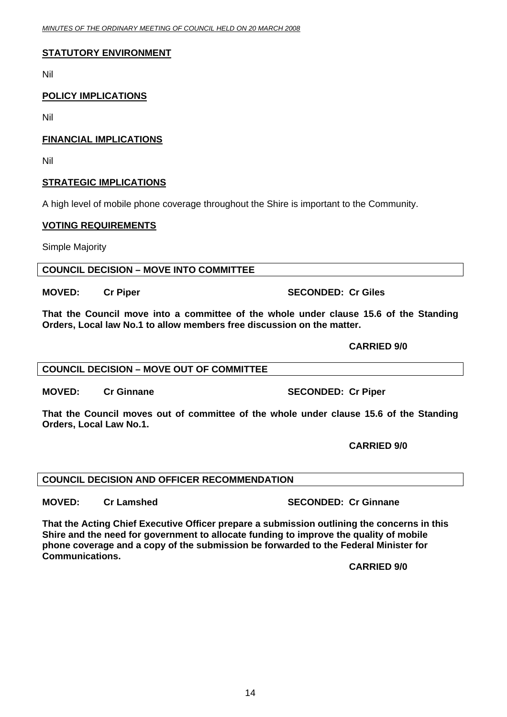### **STATUTORY ENVIRONMENT**

Nil

### **POLICY IMPLICATIONS**

Nil

### **FINANCIAL IMPLICATIONS**

Nil

### **STRATEGIC IMPLICATIONS**

A high level of mobile phone coverage throughout the Shire is important to the Community.

### **VOTING REQUIREMENTS**

Simple Majority

**COUNCIL DECISION – MOVE INTO COMMITTEE** 

**MOVED: Cr Piper SECONDED: Cr Giles SECONDED: Cr Giles** 

**That the Council move into a committee of the whole under clause 15.6 of the Standing Orders, Local law No.1 to allow members free discussion on the matter.** 

### **CARRIED 9/0**

### **COUNCIL DECISION – MOVE OUT OF COMMITTEE**

**MOVED:** Cr Ginnane **SECONDED:** Cr Piper

**That the Council moves out of committee of the whole under clause 15.6 of the Standing Orders, Local Law No.1.** 

 **CARRIED 9/0** 

### **COUNCIL DECISION AND OFFICER RECOMMENDATION**

**MOVED: Cr Lamshed SECONDED: Cr Ginnane** 

**That the Acting Chief Executive Officer prepare a submission outlining the concerns in this Shire and the need for government to allocate funding to improve the quality of mobile phone coverage and a copy of the submission be forwarded to the Federal Minister for Communications.** 

 **CARRIED 9/0**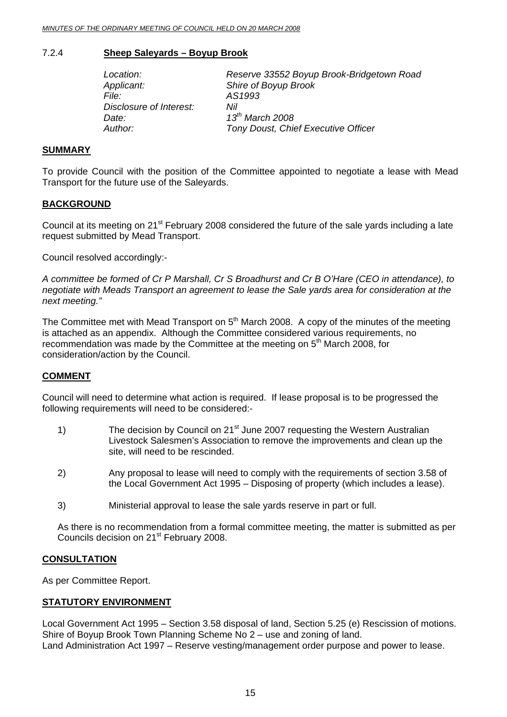#### <span id="page-14-0"></span>7.2.4 **Sheep Saleyards – Boyup Brook**

| Location:               | Reserve 33552 Boyup Brook-Bridgetown Road  |
|-------------------------|--------------------------------------------|
| Applicant:              | Shire of Boyup Brook                       |
| <i>File:</i>            | AS1993                                     |
| Disclosure of Interest: | Nil                                        |
| Date:                   | $13^{th}$ March 2008                       |
| Author:                 | <b>Tony Doust, Chief Executive Officer</b> |

#### **SUMMARY**

To provide Council with the position of the Committee appointed to negotiate a lease with Mead Transport for the future use of the Saleyards.

#### **BACKGROUND**

Council at its meeting on 21<sup>st</sup> February 2008 considered the future of the sale yards including a late request submitted by Mead Transport.

Council resolved accordingly:-

*A committee be formed of Cr P Marshall, Cr S Broadhurst and Cr B O'Hare (CEO in attendance), to negotiate with Meads Transport an agreement to lease the Sale yards area for consideration at the next meeting."* 

The Committee met with Mead Transport on  $5<sup>th</sup>$  March 2008. A copy of the minutes of the meeting is attached as an appendix. Although the Committee considered various requirements, no recommendation was made by the Committee at the meeting on 5<sup>th</sup> March 2008, for consideration/action by the Council.

#### **COMMENT**

Council will need to determine what action is required. If lease proposal is to be progressed the following requirements will need to be considered:-

- 1) The decision by Council on 21<sup>st</sup> June 2007 requesting the Western Australian Livestock Salesmen's Association to remove the improvements and clean up the site, will need to be rescinded.
- 2) Any proposal to lease will need to comply with the requirements of section 3.58 of the Local Government Act 1995 – Disposing of property (which includes a lease).
- 3) Ministerial approval to lease the sale yards reserve in part or full.

As there is no recommendation from a formal committee meeting, the matter is submitted as per Councils decision on 21<sup>st</sup> February 2008.

#### **CONSULTATION**

As per Committee Report.

#### **STATUTORY ENVIRONMENT**

Local Government Act 1995 – Section 3.58 disposal of land, Section 5.25 (e) Rescission of motions. Shire of Boyup Brook Town Planning Scheme No 2 – use and zoning of land. Land Administration Act 1997 – Reserve vesting/management order purpose and power to lease.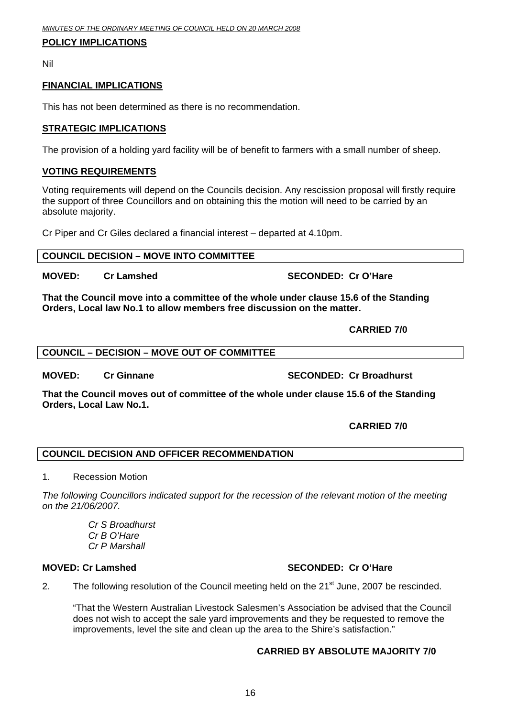#### **POLICY IMPLICATIONS**

Nil

#### **FINANCIAL IMPLICATIONS**

This has not been determined as there is no recommendation.

#### **STRATEGIC IMPLICATIONS**

The provision of a holding yard facility will be of benefit to farmers with a small number of sheep.

#### **VOTING REQUIREMENTS**

Voting requirements will depend on the Councils decision. Any rescission proposal will firstly require the support of three Councillors and on obtaining this the motion will need to be carried by an absolute majority.

Cr Piper and Cr Giles declared a financial interest – departed at 4.10pm.

#### **COUNCIL DECISION – MOVE INTO COMMITTEE**

**MOVED:** Cr Lamshed SECONDED: Cr O'Hare

**That the Council move into a committee of the whole under clause 15.6 of the Standing Orders, Local law No.1 to allow members free discussion on the matter.** 

 **CARRIED 7/0** 

#### **COUNCIL – DECISION – MOVE OUT OF COMMITTEE**

**MOVED:** Cr Ginnane **SECONDED:** Cr Broadhurst

**That the Council moves out of committee of the whole under clause 15.6 of the Standing Orders, Local Law No.1.** 

#### **CARRIED 7/0**

#### **COUNCIL DECISION AND OFFICER RECOMMENDATION**

#### 1. Recession Motion

*The following Councillors indicated support for the recession of the relevant motion of the meeting on the 21/06/2007.* 

> *Cr S Broadhurst Cr B O'Hare Cr P Marshall*

#### **MOVED: Cr Lamshed SECONDED: Cr O'Hare**

2. The following resolution of the Council meeting held on the  $21<sup>st</sup>$  June, 2007 be rescinded.

"That the Western Australian Livestock Salesmen's Association be advised that the Council does not wish to accept the sale yard improvements and they be requested to remove the improvements, level the site and clean up the area to the Shire's satisfaction."

#### **CARRIED BY ABSOLUTE MAJORITY 7/0**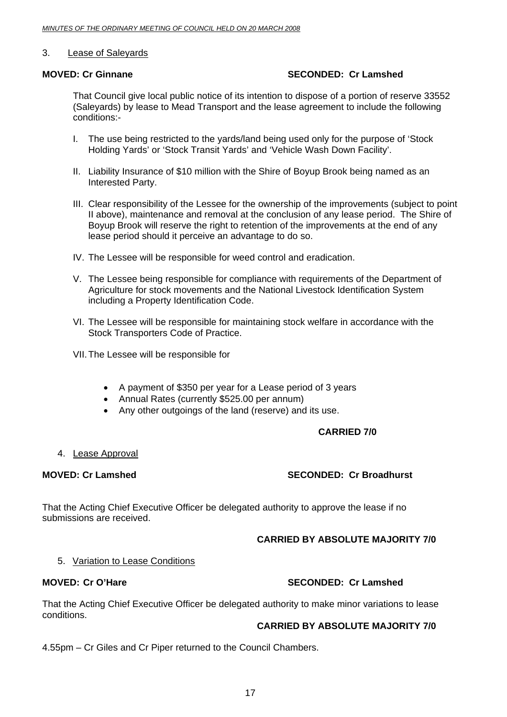#### 3. Lease of Saleyards

#### **MOVED: Cr Ginnane SECONDED: Cr Lamshed**

That Council give local public notice of its intention to dispose of a portion of reserve 33552 (Saleyards) by lease to Mead Transport and the lease agreement to include the following conditions:-

- I. The use being restricted to the yards/land being used only for the purpose of 'Stock Holding Yards' or 'Stock Transit Yards' and 'Vehicle Wash Down Facility'.
- II. Liability Insurance of \$10 million with the Shire of Boyup Brook being named as an Interested Party.
- III. Clear responsibility of the Lessee for the ownership of the improvements (subject to point II above), maintenance and removal at the conclusion of any lease period. The Shire of Boyup Brook will reserve the right to retention of the improvements at the end of any lease period should it perceive an advantage to do so.
- IV. The Lessee will be responsible for weed control and eradication.
- V. The Lessee being responsible for compliance with requirements of the Department of Agriculture for stock movements and the National Livestock Identification System including a Property Identification Code.
- VI. The Lessee will be responsible for maintaining stock welfare in accordance with the Stock Transporters Code of Practice.
- VII. The Lessee will be responsible for
	- A payment of \$350 per year for a Lease period of 3 years
	- Annual Rates (currently \$525.00 per annum)
	- Any other outgoings of the land (reserve) and its use.

#### **CARRIED 7/0**

#### 4. Lease Approval

#### **MOVED: Cr Lamshed SECONDED: Cr Broadhurst**

That the Acting Chief Executive Officer be delegated authority to approve the lease if no submissions are received.

#### **CARRIED BY ABSOLUTE MAJORITY 7/0**

#### 5. Variation to Lease Conditions

#### **MOVED: Cr O'Hare SECONDED: Cr Lamshed COVED: Cr Lamshed COVED: Cr Lamshed**

That the Acting Chief Executive Officer be delegated authority to make minor variations to lease conditions.

#### **CARRIED BY ABSOLUTE MAJORITY 7/0**

4.55pm – Cr Giles and Cr Piper returned to the Council Chambers.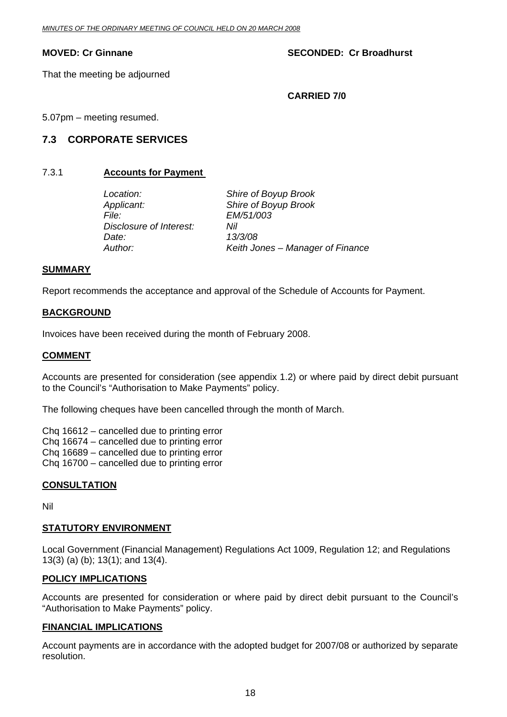#### <span id="page-17-0"></span>**MOVED: Cr Ginnane SECONDED: Cr Broadhurst**  SECONDED: Cr Broadhurst

That the meeting be adjourned

 **CARRIED 7/0** 

5.07pm – meeting resumed.

### **7.3 CORPORATE SERVICES**

#### 7.3.1 **Accounts for Payment**

 *Location: Shire of Boyup Brook Applicant: Shire of Boyup Brook File: EM/51/003 Disclosure of Interest: Nil Date: 13/3/08* 

*Author: Keith Jones – Manager of Finance* 

#### **SUMMARY**

Report recommends the acceptance and approval of the Schedule of Accounts for Payment.

#### **BACKGROUND**

Invoices have been received during the month of February 2008.

#### **COMMENT**

Accounts are presented for consideration (see appendix 1.2) or where paid by direct debit pursuant to the Council's "Authorisation to Make Payments" policy.

The following cheques have been cancelled through the month of March.

Chq 16612 – cancelled due to printing error Chq 16674 – cancelled due to printing error Chq 16689 – cancelled due to printing error Chq 16700 – cancelled due to printing error

#### **CONSULTATION**

Nil

#### **STATUTORY ENVIRONMENT**

Local Government (Financial Management) Regulations Act 1009, Regulation 12; and Regulations 13(3) (a) (b); 13(1); and 13(4).

#### **POLICY IMPLICATIONS**

Accounts are presented for consideration or where paid by direct debit pursuant to the Council's "Authorisation to Make Payments" policy.

#### **FINANCIAL IMPLICATIONS**

Account payments are in accordance with the adopted budget for 2007/08 or authorized by separate resolution.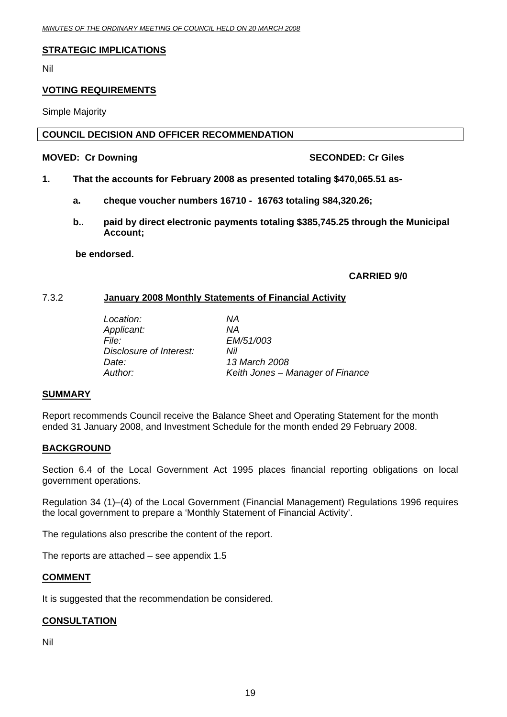#### <span id="page-18-0"></span>**STRATEGIC IMPLICATIONS**

Nil

#### **VOTING REQUIREMENTS**

Simple Majority

#### **COUNCIL DECISION AND OFFICER RECOMMENDATION**

#### **MOVED: Cr Downing Case and SECONDED: Cr Giles ADVED: Cr Giles**

- **1. That the accounts for February 2008 as presented totaling \$470,065.51 as**
	- **a. cheque voucher numbers 16710 16763 totaling \$84,320.26;**
	- **b.. paid by direct electronic payments totaling \$385,745.25 through the Municipal Account;**

 **be endorsed.** 

#### **CARRIED 9/0**

#### 7.3.2 **January 2008 Monthly Statements of Financial Activity**

| Location:               | ΝA                               |
|-------------------------|----------------------------------|
| Applicant:              | ΝA                               |
| File:                   | EM/51/003                        |
| Disclosure of Interest: | Nil                              |
| Date:                   | 13 March 2008                    |
| Author:                 | Keith Jones – Manager of Finance |
|                         |                                  |

#### **SUMMARY**

Report recommends Council receive the Balance Sheet and Operating Statement for the month ended 31 January 2008, and Investment Schedule for the month ended 29 February 2008.

#### **BACKGROUND**

Section 6.4 of the Local Government Act 1995 places financial reporting obligations on local government operations.

Regulation 34 (1)–(4) of the Local Government (Financial Management) Regulations 1996 requires the local government to prepare a 'Monthly Statement of Financial Activity'.

The regulations also prescribe the content of the report.

The reports are attached – see appendix 1.5

#### **COMMENT**

It is suggested that the recommendation be considered.

#### **CONSULTATION**

Nil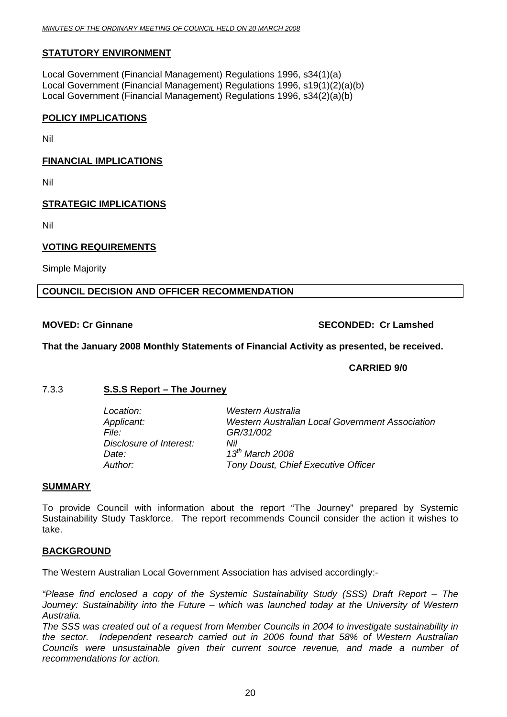#### <span id="page-19-0"></span>**STATUTORY ENVIRONMENT**

Local Government (Financial Management) Regulations 1996, s34(1)(a) Local Government (Financial Management) Regulations 1996, s19(1)(2)(a)(b) Local Government (Financial Management) Regulations 1996, s34(2)(a)(b)

#### **POLICY IMPLICATIONS**

Nil

#### **FINANCIAL IMPLICATIONS**

Nil

#### **STRATEGIC IMPLICATIONS**

Nil

#### **VOTING REQUIREMENTS**

Simple Majority

#### **COUNCIL DECISION AND OFFICER RECOMMENDATION**

#### **MOVED: Cr Ginnane SECONDED: Cr Lamshed COVED: Cr Lamshed Cr Lamshed Cr Lamshed Cr Lamshed Cr Lamshed Cr Lamshed Cr Lamshed Cr Lamshed Cr Lamshed Cr Lamshed Cr Lamshed Cr Lamshed Cr Lamshed Cr Lamshed Cr Lamshed Cr Lamshed**

#### **That the January 2008 Monthly Statements of Financial Activity as presented, be received.**

#### **CARRIED 9/0**

#### 7.3.3 **S.S.S Report – The Journey**

| Location:               | Western Australia                                      |
|-------------------------|--------------------------------------------------------|
| Applicant:              | <b>Western Australian Local Government Association</b> |
| File: I                 | GR/31/002                                              |
| Disclosure of Interest: | Nil                                                    |
| Date:                   | $13^{th}$ March 2008                                   |
| Author:                 | Tony Doust, Chief Executive Officer                    |

#### **SUMMARY**

To provide Council with information about the report "The Journey" prepared by Systemic Sustainability Study Taskforce. The report recommends Council consider the action it wishes to take.

#### **BACKGROUND**

The Western Australian Local Government Association has advised accordingly:-

*"Please find enclosed a copy of the Systemic Sustainability Study (SSS) Draft Report – The Journey: Sustainability into the Future – which was launched today at the University of Western Australia.* 

*The SSS was created out of a request from Member Councils in 2004 to investigate sustainability in the sector. Independent research carried out in 2006 found that 58% of Western Australian Councils were unsustainable given their current source revenue, and made a number of recommendations for action.*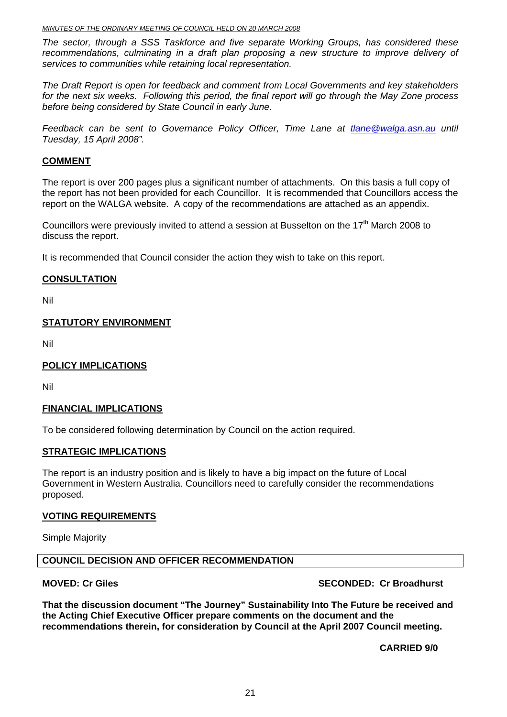*MINUTES OF THE ORDINARY MEETING OF COUNCIL HELD ON 20 MARCH 2008*

*The sector, through a SSS Taskforce and five separate Working Groups, has considered these*  recommendations, culminating in a draft plan proposing a new structure to improve delivery of *services to communities while retaining local representation.* 

*The Draft Report is open for feedback and comment from Local Governments and key stakeholders for the next six weeks. Following this period, the final report will go through the May Zone process before being considered by State Council in early June.* 

*Feedback can be sent to Governance Policy Officer. Time Lane at [tlane@walga.asn.au](mailto:tlane@walga.asn.au) until Tuesday, 15 April 2008".* 

#### **COMMENT**

The report is over 200 pages plus a significant number of attachments. On this basis a full copy of the report has not been provided for each Councillor. It is recommended that Councillors access the report on the WALGA website. A copy of the recommendations are attached as an appendix.

Councillors were previously invited to attend a session at Busselton on the 17<sup>th</sup> March 2008 to discuss the report.

It is recommended that Council consider the action they wish to take on this report.

#### **CONSULTATION**

Nil

#### **STATUTORY ENVIRONMENT**

Nil

#### **POLICY IMPLICATIONS**

Nil

#### **FINANCIAL IMPLICATIONS**

To be considered following determination by Council on the action required.

#### **STRATEGIC IMPLICATIONS**

The report is an industry position and is likely to have a big impact on the future of Local Government in Western Australia. Councillors need to carefully consider the recommendations proposed.

#### **VOTING REQUIREMENTS**

Simple Majority

#### **COUNCIL DECISION AND OFFICER RECOMMENDATION**

#### **MOVED: Cr Giles SECONDED: Cr Giles** SECONDED: Cr Broadhurst

**That the discussion document "The Journey" Sustainability Into The Future be received and the Acting Chief Executive Officer prepare comments on the document and the recommendations therein, for consideration by Council at the April 2007 Council meeting.** 

**CARRIED 9/0**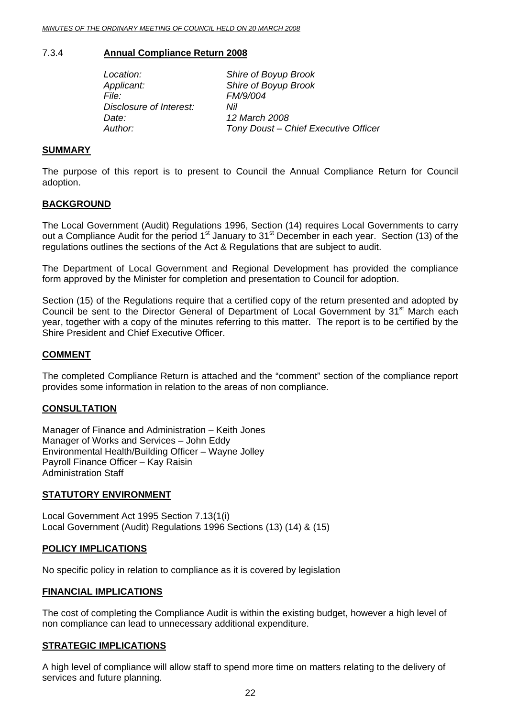#### <span id="page-21-0"></span>7.3.4 **Annual Compliance Return 2008**

| Location:               | Shire of Boyup Brook                 |
|-------------------------|--------------------------------------|
| Applicant:              | Shire of Boyup Brook                 |
| File:                   | FM/9/004                             |
| Disclosure of Interest: | Nil                                  |
| Date:                   | 12 March 2008                        |
| Author:                 | Tony Doust - Chief Executive Officer |

#### **SUMMARY**

The purpose of this report is to present to Council the Annual Compliance Return for Council adoption.

#### **BACKGROUND**

The Local Government (Audit) Regulations 1996, Section (14) requires Local Governments to carry out a Compliance Audit for the period 1<sup>st</sup> January to 31<sup>st</sup> December in each year. Section (13) of the regulations outlines the sections of the Act & Regulations that are subject to audit.

The Department of Local Government and Regional Development has provided the compliance form approved by the Minister for completion and presentation to Council for adoption.

Section (15) of the Regulations require that a certified copy of the return presented and adopted by Council be sent to the Director General of Department of Local Government by 31<sup>st</sup> March each year, together with a copy of the minutes referring to this matter. The report is to be certified by the Shire President and Chief Executive Officer.

#### **COMMENT**

The completed Compliance Return is attached and the "comment" section of the compliance report provides some information in relation to the areas of non compliance.

#### **CONSULTATION**

Manager of Finance and Administration – Keith Jones Manager of Works and Services – John Eddy Environmental Health/Building Officer – Wayne Jolley Payroll Finance Officer – Kay Raisin Administration Staff

#### **STATUTORY ENVIRONMENT**

Local Government Act 1995 Section 7.13(1(i) Local Government (Audit) Regulations 1996 Sections (13) (14) & (15)

#### **POLICY IMPLICATIONS**

No specific policy in relation to compliance as it is covered by legislation

#### **FINANCIAL IMPLICATIONS**

The cost of completing the Compliance Audit is within the existing budget, however a high level of non compliance can lead to unnecessary additional expenditure.

#### **STRATEGIC IMPLICATIONS**

A high level of compliance will allow staff to spend more time on matters relating to the delivery of services and future planning.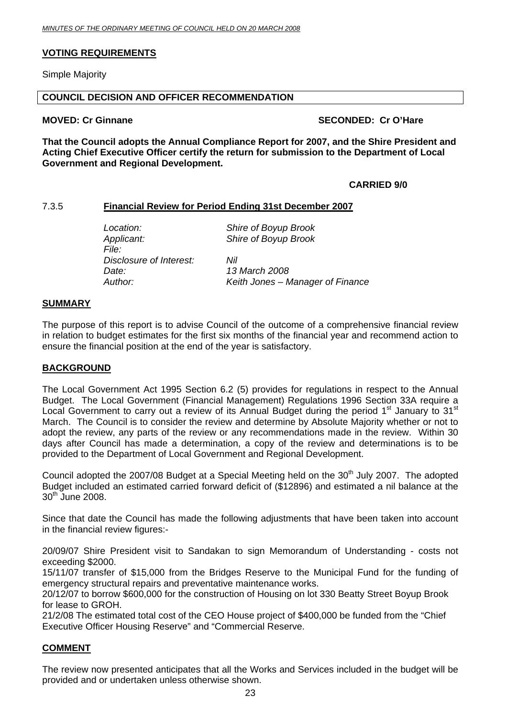#### <span id="page-22-0"></span>**VOTING REQUIREMENTS**

Simple Majority

#### **COUNCIL DECISION AND OFFICER RECOMMENDATION**

#### **MOVED: Cr Ginnane SECONDED: Cr O'Hare**

**That the Council adopts the Annual Compliance Report for 2007, and the Shire President and Acting Chief Executive Officer certify the return for submission to the Department of Local Government and Regional Development.** 

#### **CARRIED 9/0**

#### 7.3.5 **Financial Review for Period Ending 31st December 2007**

*Applicant: Shire of Boyup Brook File: Disclosure of Interest: Nil Date: 13 March 2008* 

 *Location: Shire of Boyup Brook* 

*Author: Keith Jones – Manager of Finance* 

#### **SUMMARY**

The purpose of this report is to advise Council of the outcome of a comprehensive financial review in relation to budget estimates for the first six months of the financial year and recommend action to ensure the financial position at the end of the year is satisfactory.

#### **BACKGROUND**

The Local Government Act 1995 Section 6.2 (5) provides for regulations in respect to the Annual Budget. The Local Government (Financial Management) Regulations 1996 Section 33A require a Local Government to carry out a review of its Annual Budget during the period  $1<sup>st</sup>$  January to  $31<sup>st</sup>$ March. The Council is to consider the review and determine by Absolute Majority whether or not to adopt the review, any parts of the review or any recommendations made in the review. Within 30 days after Council has made a determination, a copy of the review and determinations is to be provided to the Department of Local Government and Regional Development.

Council adopted the 2007/08 Budget at a Special Meeting held on the 30<sup>th</sup> July 2007. The adopted Budget included an estimated carried forward deficit of (\$12896) and estimated a nil balance at the 30<sup>th</sup> June 2008.

Since that date the Council has made the following adjustments that have been taken into account in the financial review figures:-

20/09/07 Shire President visit to Sandakan to sign Memorandum of Understanding - costs not exceeding \$2000.

15/11/07 transfer of \$15,000 from the Bridges Reserve to the Municipal Fund for the funding of emergency structural repairs and preventative maintenance works.

20/12/07 to borrow \$600,000 for the construction of Housing on lot 330 Beatty Street Boyup Brook for lease to GROH.

21/2/08 The estimated total cost of the CEO House project of \$400,000 be funded from the "Chief Executive Officer Housing Reserve" and "Commercial Reserve.

#### **COMMENT**

The review now presented anticipates that all the Works and Services included in the budget will be provided and or undertaken unless otherwise shown.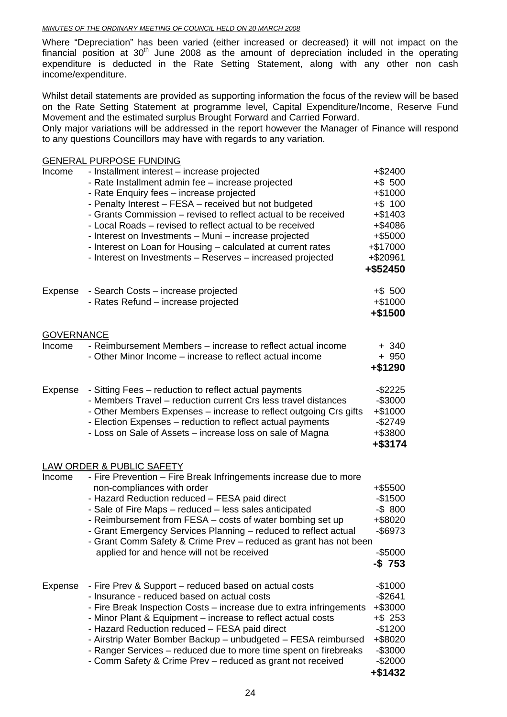Where "Depreciation" has been varied (either increased or decreased) it will not impact on the financial position at  $30<sup>th</sup>$  June 2008 as the amount of depreciation included in the operating expenditure is deducted in the Rate Setting Statement, along with any other non cash income/expenditure.

Whilst detail statements are provided as supporting information the focus of the review will be based on the Rate Setting Statement at programme level, Capital Expenditure/Income, Reserve Fund Movement and the estimated surplus Brought Forward and Carried Forward.

Only major variations will be addressed in the report however the Manager of Finance will respond to any questions Councillors may have with regards to any variation.

|                   | <b>GENERAL PURPOSE FUNDING</b>                                                                                                                                                                                                                                                                                                                                                                                                                                                                                             |                                                                                                                        |
|-------------------|----------------------------------------------------------------------------------------------------------------------------------------------------------------------------------------------------------------------------------------------------------------------------------------------------------------------------------------------------------------------------------------------------------------------------------------------------------------------------------------------------------------------------|------------------------------------------------------------------------------------------------------------------------|
| Income            | - Installment interest - increase projected<br>- Rate Installment admin fee - increase projected<br>- Rate Enquiry fees - increase projected<br>- Penalty Interest - FESA - received but not budgeted<br>- Grants Commission – revised to reflect actual to be received<br>- Local Roads – revised to reflect actual to be received<br>- Interest on Investments - Muni - increase projected<br>- Interest on Loan for Housing – calculated at current rates<br>- Interest on Investments - Reserves - increased projected | +\$2400<br>$+ $ 500$<br>$+$1000$<br>$+$ \$ 100<br>$+$ \$1403<br>+\$4086<br>+\$5000<br>+\$17000<br>+\$20961<br>+\$52450 |
| Expense           | - Search Costs – increase projected<br>- Rates Refund - increase projected                                                                                                                                                                                                                                                                                                                                                                                                                                                 | $+$ \$ 500<br>$+$1000$<br>$+$ \$1500                                                                                   |
| <b>GOVERNANCE</b> |                                                                                                                                                                                                                                                                                                                                                                                                                                                                                                                            |                                                                                                                        |
| Income            | - Reimbursement Members – increase to reflect actual income<br>- Other Minor Income – increase to reflect actual income                                                                                                                                                                                                                                                                                                                                                                                                    | $+340$<br>$+950$<br>+\$1290                                                                                            |
| Expense           | - Sitting Fees – reduction to reflect actual payments<br>- Members Travel - reduction current Crs less travel distances<br>- Other Members Expenses – increase to reflect outgoing Crs gifts<br>- Election Expenses - reduction to reflect actual payments<br>- Loss on Sale of Assets - increase loss on sale of Magna                                                                                                                                                                                                    | $-$ \$2225<br>$-$ \$3000<br>+\$1000<br>$-$2749$<br>+\$3800<br>+\$3174                                                  |
|                   | LAW ORDER & PUBLIC SAFETY                                                                                                                                                                                                                                                                                                                                                                                                                                                                                                  |                                                                                                                        |
| Income            | - Fire Prevention - Fire Break Infringements increase due to more<br>non-compliances with order<br>- Hazard Reduction reduced - FESA paid direct<br>- Sale of Fire Maps - reduced - less sales anticipated<br>- Reimbursement from FESA – costs of water bombing set up<br>- Grant Emergency Services Planning - reduced to reflect actual<br>- Grant Comm Safety & Crime Prev - reduced as grant has not been<br>applied for and hence will not be received                                                               | +\$5500<br>$-$1500$<br>$-$ \$ 800<br>+\$8020<br>-\$6973<br>$-$ \$5000<br>$-$ \$ 753                                    |
| Expense           | - Fire Prev & Support – reduced based on actual costs<br>- Insurance - reduced based on actual costs<br>- Fire Break Inspection Costs - increase due to extra infringements<br>- Minor Plant & Equipment – increase to reflect actual costs<br>- Hazard Reduction reduced - FESA paid direct<br>- Airstrip Water Bomber Backup - unbudgeted - FESA reimbursed<br>- Ranger Services - reduced due to more time spent on firebreaks<br>- Comm Safety & Crime Prev - reduced as grant not received                            | $-$1000$<br>$-$2641$<br>+\$3000<br>$+$ \$ 253<br>$-$1200$<br>+\$8020<br>$-$ \$3000<br>$-$2000$<br>$+$ \$1432           |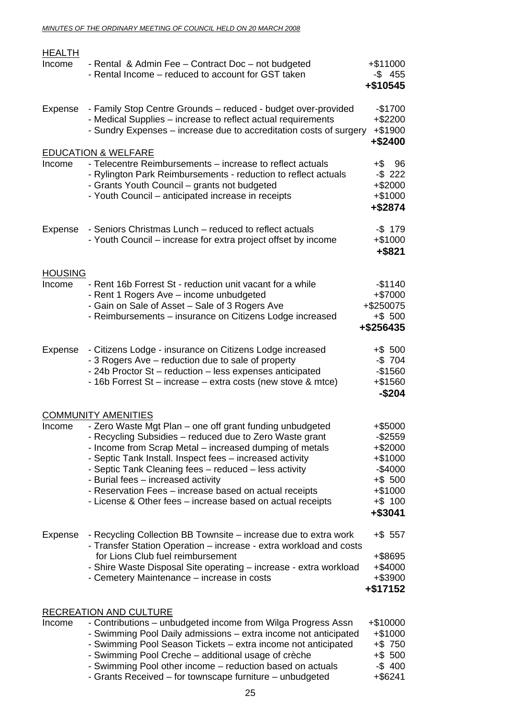| <b>HEALTH</b><br>Income  | - Rental & Admin Fee - Contract Doc - not budgeted<br>- Rental Income - reduced to account for GST taken                                                                                                                                                                                                                                                                                                                                                                                        | $+$ \$11000<br>$-$ \$ 455<br>$+$ \$10545                                                                       |
|--------------------------|-------------------------------------------------------------------------------------------------------------------------------------------------------------------------------------------------------------------------------------------------------------------------------------------------------------------------------------------------------------------------------------------------------------------------------------------------------------------------------------------------|----------------------------------------------------------------------------------------------------------------|
| <b>Expense</b>           | - Family Stop Centre Grounds - reduced - budget over-provided<br>- Medical Supplies – increase to reflect actual requirements<br>- Sundry Expenses - increase due to accreditation costs of surgery                                                                                                                                                                                                                                                                                             | $-$1700$<br>$+ $2200$<br>$+ $1900$<br>+\$2400                                                                  |
|                          | <b>EDUCATION &amp; WELFARE</b>                                                                                                                                                                                                                                                                                                                                                                                                                                                                  |                                                                                                                |
| Income                   | - Telecentre Reimbursements - increase to reflect actuals<br>- Rylington Park Reimbursements - reduction to reflect actuals<br>- Grants Youth Council - grants not budgeted<br>- Youth Council - anticipated increase in receipts                                                                                                                                                                                                                                                               | +\$96<br>$-$ \$ 222<br>$+ $2000$<br>$+$1000$<br>+\$2874                                                        |
| Expense                  | - Seniors Christmas Lunch – reduced to reflect actuals<br>- Youth Council – increase for extra project offset by income                                                                                                                                                                                                                                                                                                                                                                         | $-$ \$ 179<br>$+$1000$<br>$+$ \$821                                                                            |
| <b>HOUSING</b><br>Income | - Rent 16b Forrest St - reduction unit vacant for a while<br>- Rent 1 Rogers Ave - income unbudgeted<br>- Gain on Sale of Asset - Sale of 3 Rogers Ave<br>- Reimbursements - insurance on Citizens Lodge increased                                                                                                                                                                                                                                                                              | $-$1140$<br>+\$7000<br>+\$250075<br>$+$ \$ 500<br>+\$256435                                                    |
| Expense                  | - Citizens Lodge - insurance on Citizens Lodge increased<br>- 3 Rogers Ave – reduction due to sale of property<br>- 24b Proctor St - reduction - less expenses anticipated<br>- 16b Forrest St – increase – extra costs (new stove & mtce)                                                                                                                                                                                                                                                      | $+$ \$ 500<br>$-$ \$ 704<br>$-$1560$<br>$+$ \$1560<br>$-$204$                                                  |
|                          |                                                                                                                                                                                                                                                                                                                                                                                                                                                                                                 |                                                                                                                |
| Income                   | <b>COMMUNITY AMENITIES</b><br>- Zero Waste Mgt Plan – one off grant funding unbudgeted<br>- Recycling Subsidies – reduced due to Zero Waste grant<br>- Income from Scrap Metal – increased dumping of metals<br>- Septic Tank Install. Inspect fees - increased activity<br>- Septic Tank Cleaning fees - reduced - less activity<br>- Burial fees - increased activity<br>- Reservation Fees - increase based on actual receipts<br>- License & Other fees – increase based on actual receipts | +\$5000<br>$-$ \$2559<br>$+$ \$2000<br>$+$1000$<br>$-$4000$<br>$+$ \$ 500<br>$+$1000$<br>$+$ \$ 100<br>+\$3041 |
| Expense                  | - Recycling Collection BB Townsite – increase due to extra work<br>- Transfer Station Operation - increase - extra workload and costs<br>for Lions Club fuel reimbursement<br>- Shire Waste Disposal Site operating - increase - extra workload<br>- Cemetery Maintenance – increase in costs                                                                                                                                                                                                   | $+$ \$ 557<br>+\$8695<br>$+$ \$4000<br>$+$ \$3900<br>$+ $17152$                                                |
|                          | <b>RECREATION AND CULTURE</b>                                                                                                                                                                                                                                                                                                                                                                                                                                                                   |                                                                                                                |
| Income                   | - Contributions – unbudgeted income from Wilga Progress Assn<br>- Swimming Pool Daily admissions - extra income not anticipated<br>- Swimming Pool Season Tickets - extra income not anticipated<br>- Swimming Pool Creche – additional usage of crèche<br>- Swimming Pool other income - reduction based on actuals                                                                                                                                                                            | +\$10000<br>$+$1000$<br>$+$ \$ 750<br>$+$ \$ 500<br>$-$400$                                                    |

- Grants Received – for townscape furniture – unbudgeted +\$6241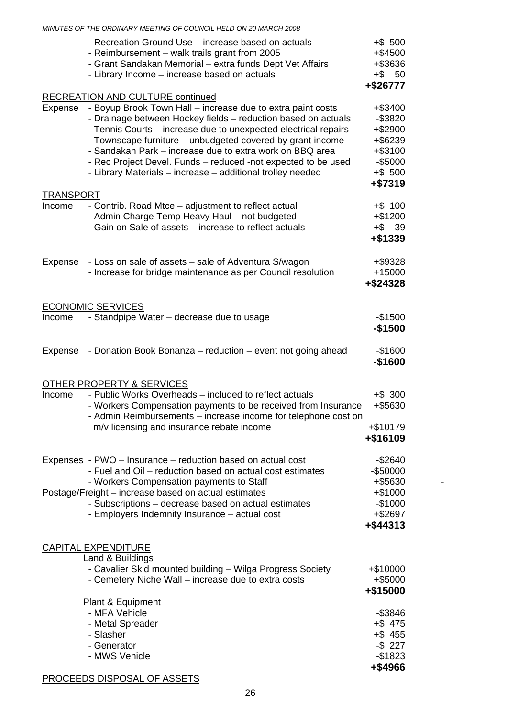#### *MINUTES OF THE ORDINARY MEETING OF COUNCIL HELD ON 20 MARCH 2008*

|                  | - Recreation Ground Use – increase based on actuals<br>- Reimbursement - walk trails grant from 2005<br>- Grant Sandakan Memorial - extra funds Dept Vet Affairs<br>- Library Income - increase based on actuals                                                                                                                                                                                                                                         | $+$ \$ 500<br>+\$4500<br>+\$3636<br>$+$ \$ 50<br>+\$26777                                   |
|------------------|----------------------------------------------------------------------------------------------------------------------------------------------------------------------------------------------------------------------------------------------------------------------------------------------------------------------------------------------------------------------------------------------------------------------------------------------------------|---------------------------------------------------------------------------------------------|
|                  | <b>RECREATION AND CULTURE continued</b>                                                                                                                                                                                                                                                                                                                                                                                                                  |                                                                                             |
| Expense          | - Boyup Brook Town Hall - increase due to extra paint costs<br>- Drainage between Hockey fields - reduction based on actuals<br>- Tennis Courts – increase due to unexpected electrical repairs<br>- Townscape furniture - unbudgeted covered by grant income<br>- Sandakan Park - increase due to extra work on BBQ area<br>- Rec Project Devel. Funds - reduced -not expected to be used<br>- Library Materials - increase - additional trolley needed | +\$3400<br>$-$ \$3820<br>+\$2900<br>+\$6239<br>+\$3100<br>$-$5000$<br>$+$ \$ 500<br>+\$7319 |
| <b>TRANSPORT</b> |                                                                                                                                                                                                                                                                                                                                                                                                                                                          |                                                                                             |
| Income           | - Contrib. Road Mtce - adjustment to reflect actual<br>- Admin Charge Temp Heavy Haul - not budgeted<br>- Gain on Sale of assets – increase to reflect actuals                                                                                                                                                                                                                                                                                           | $+$ \$ 100<br>$+ $1200$<br>$+$ \$ 39<br>$+ $1339$                                           |
| Expense          | - Loss on sale of assets - sale of Adventura S/wagon<br>- Increase for bridge maintenance as per Council resolution                                                                                                                                                                                                                                                                                                                                      | +\$9328<br>+15000<br>+\$24328                                                               |
|                  |                                                                                                                                                                                                                                                                                                                                                                                                                                                          |                                                                                             |
|                  | <b>ECONOMIC SERVICES</b>                                                                                                                                                                                                                                                                                                                                                                                                                                 |                                                                                             |
| Income           | - Standpipe Water - decrease due to usage                                                                                                                                                                                                                                                                                                                                                                                                                | $-$1500$<br>$-$1500$                                                                        |
| Expense          | - Donation Book Bonanza - reduction - event not going ahead                                                                                                                                                                                                                                                                                                                                                                                              | $-$1600$<br>$-$1600$                                                                        |
|                  | OTHER PROPERTY & SERVICES                                                                                                                                                                                                                                                                                                                                                                                                                                |                                                                                             |
| Income           | - Public Works Overheads - included to reflect actuals<br>- Workers Compensation payments to be received from Insurance<br>Admin Reimbursements - increase income for telephone cost on<br>m/v licensing and insurance rebate income                                                                                                                                                                                                                     | $+$ \$ 300<br>+\$5630<br>+\$10179<br>+\$16109                                               |
|                  |                                                                                                                                                                                                                                                                                                                                                                                                                                                          |                                                                                             |
|                  | Expenses - PWO - Insurance - reduction based on actual cost<br>- Fuel and Oil – reduction based on actual cost estimates<br>- Workers Compensation payments to Staff<br>Postage/Freight - increase based on actual estimates<br>- Subscriptions - decrease based on actual estimates                                                                                                                                                                     | $-$2640$<br>-\$50000<br>+\$5630<br>$+ $1000$<br>$-$1000$                                    |
|                  | - Employers Indemnity Insurance - actual cost                                                                                                                                                                                                                                                                                                                                                                                                            | +\$2697<br>+\$44313                                                                         |
|                  | <b>CAPITAL EXPENDITURE</b>                                                                                                                                                                                                                                                                                                                                                                                                                               |                                                                                             |
|                  | <b>Land &amp; Buildings</b><br>- Cavalier Skid mounted building - Wilga Progress Society<br>- Cemetery Niche Wall - increase due to extra costs                                                                                                                                                                                                                                                                                                          | +\$10000<br>+\$5000<br>+\$15000                                                             |
|                  | Plant & Equipment                                                                                                                                                                                                                                                                                                                                                                                                                                        |                                                                                             |
|                  | - MFA Vehicle                                                                                                                                                                                                                                                                                                                                                                                                                                            | $-$ \$3846                                                                                  |
|                  | - Metal Spreader<br>- Slasher                                                                                                                                                                                                                                                                                                                                                                                                                            | $+$ \$475<br>$+$ \$455                                                                      |
|                  | - Generator                                                                                                                                                                                                                                                                                                                                                                                                                                              | $-$ \$ 227                                                                                  |
|                  | - MWS Vehicle                                                                                                                                                                                                                                                                                                                                                                                                                                            | $-$1823$<br>+\$4966                                                                         |

### PROCEEDS DISPOSAL OF ASSETS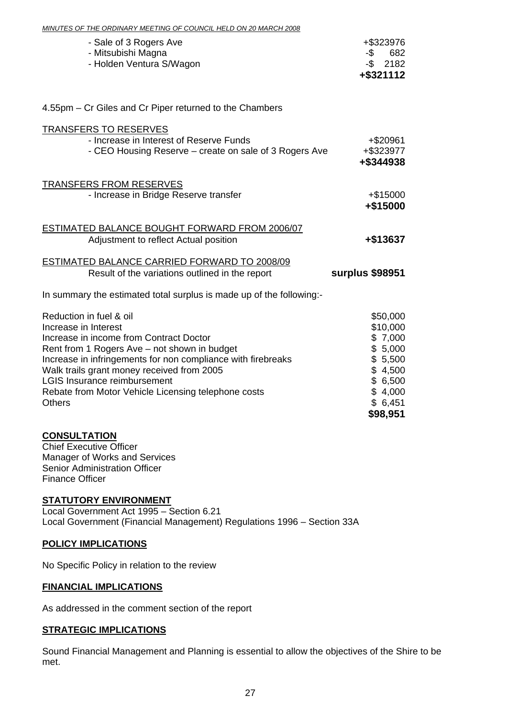| <u><b>ONDINAIST MEETING OF COUNCIL HELD ON 20 MANGH 2000</b></u>                                                                                                                                                                                                                                                                                                        |                                                                                                               |
|-------------------------------------------------------------------------------------------------------------------------------------------------------------------------------------------------------------------------------------------------------------------------------------------------------------------------------------------------------------------------|---------------------------------------------------------------------------------------------------------------|
| - Sale of 3 Rogers Ave<br>- Mitsubishi Magna<br>- Holden Ventura S/Wagon                                                                                                                                                                                                                                                                                                | +\$323976<br>682<br>-\$<br>$-$ \$ 2182<br>+\$321112                                                           |
| 4.55pm – Cr Giles and Cr Piper returned to the Chambers                                                                                                                                                                                                                                                                                                                 |                                                                                                               |
| <b>TRANSFERS TO RESERVES</b><br>- Increase in Interest of Reserve Funds<br>- CEO Housing Reserve - create on sale of 3 Rogers Ave                                                                                                                                                                                                                                       | $+$ \$20961<br>+\$323977<br>+\$344938                                                                         |
| <b>TRANSFERS FROM RESERVES</b><br>- Increase in Bridge Reserve transfer                                                                                                                                                                                                                                                                                                 | $+ $15000$<br>+\$15000                                                                                        |
| <b>ESTIMATED BALANCE BOUGHT FORWARD FROM 2006/07</b><br>Adjustment to reflect Actual position                                                                                                                                                                                                                                                                           | +\$13637                                                                                                      |
| <b>ESTIMATED BALANCE CARRIED FORWARD TO 2008/09</b><br>Result of the variations outlined in the report                                                                                                                                                                                                                                                                  | surplus \$98951                                                                                               |
| In summary the estimated total surplus is made up of the following:-                                                                                                                                                                                                                                                                                                    |                                                                                                               |
| Reduction in fuel & oil<br>Increase in Interest<br>Increase in income from Contract Doctor<br>Rent from 1 Rogers Ave - not shown in budget<br>Increase in infringements for non compliance with firebreaks<br>Walk trails grant money received from 2005<br><b>LGIS Insurance reimbursement</b><br>Rebate from Motor Vehicle Licensing telephone costs<br><b>Others</b> | \$50,000<br>\$10,000<br>\$7,000<br>\$5,000<br>\$5,500<br>\$4,500<br>\$6,500<br>\$4,000<br>\$6,451<br>\$98,951 |

*MINUTES OF THE ORDINARY MEETING OF COUNCIL HELD ON 20 MARCH 2008*

#### **CONSULTATION**

Chief Executive Officer Manager of Works and Services Senior Administration Officer Finance Officer

#### **STATUTORY ENVIRONMENT**

Local Government Act 1995 – Section 6.21 Local Government (Financial Management) Regulations 1996 – Section 33A

#### **POLICY IMPLICATIONS**

No Specific Policy in relation to the review

#### **FINANCIAL IMPLICATIONS**

As addressed in the comment section of the report

#### **STRATEGIC IMPLICATIONS**

Sound Financial Management and Planning is essential to allow the objectives of the Shire to be met.